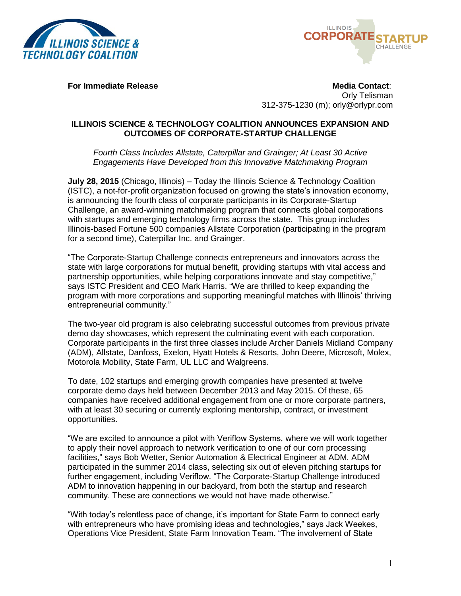



**For Immediate Release Contact:** A set of the Media Contact: Orly Telisman 312-375-1230 (m); orly@orlypr.com

## **ILLINOIS SCIENCE & TECHNOLOGY COALITION ANNOUNCES EXPANSION AND OUTCOMES OF CORPORATE-STARTUP CHALLENGE**

*Fourth Class Includes Allstate, Caterpillar and Grainger; At Least 30 Active Engagements Have Developed from this Innovative Matchmaking Program*

**July 28, 2015** (Chicago, Illinois) – Today the Illinois Science & Technology Coalition (ISTC), a not-for-profit organization focused on growing the state's innovation economy, is announcing the fourth class of corporate participants in its Corporate-Startup Challenge, an award-winning matchmaking program that connects global corporations with startups and emerging technology firms across the state. This group includes Illinois-based Fortune 500 companies Allstate Corporation (participating in the program for a second time), Caterpillar Inc. and Grainger.

"The Corporate-Startup Challenge connects entrepreneurs and innovators across the state with large corporations for mutual benefit, providing startups with vital access and partnership opportunities, while helping corporations innovate and stay competitive," says ISTC President and CEO Mark Harris. "We are thrilled to keep expanding the program with more corporations and supporting meaningful matches with Illinois' thriving entrepreneurial community."

The two-year old program is also celebrating successful outcomes from previous private demo day showcases, which represent the culminating event with each corporation. Corporate participants in the first three classes include Archer Daniels Midland Company (ADM), Allstate, Danfoss, Exelon, Hyatt Hotels & Resorts, John Deere, Microsoft, Molex, Motorola Mobility, State Farm, UL LLC and Walgreens.

To date, 102 startups and emerging growth companies have presented at twelve corporate demo days held between December 2013 and May 2015. Of these, 65 companies have received additional engagement from one or more corporate partners, with at least 30 securing or currently exploring mentorship, contract, or investment opportunities.

"We are excited to announce a pilot with Veriflow Systems, where we will work together to apply their novel approach to network verification to one of our corn processing facilities," says Bob Wetter, Senior Automation & Electrical Engineer at ADM. ADM participated in the summer 2014 class, selecting six out of eleven pitching startups for further engagement, including Veriflow. "The Corporate-Startup Challenge introduced ADM to innovation happening in our backyard, from both the startup and research community. These are connections we would not have made otherwise."

"With today's relentless pace of change, it's important for State Farm to connect early with entrepreneurs who have promising ideas and technologies," says Jack Weekes, Operations Vice President, State Farm Innovation Team. "The involvement of State